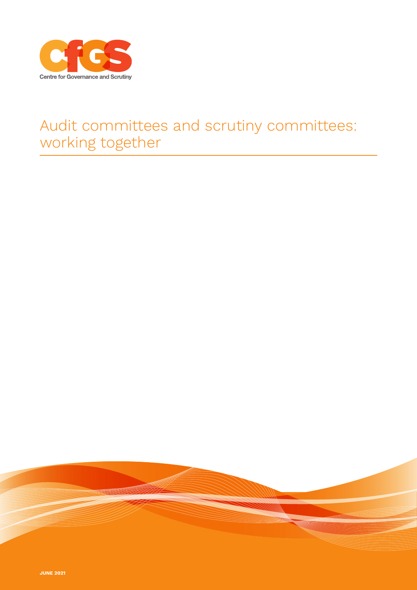

## Audit committees and scrutiny committees: working together

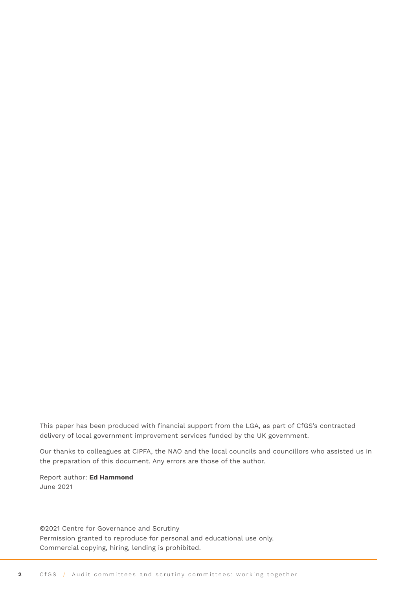This paper has been produced with financial support from the LGA, as part of CfGS's contracted delivery of local government improvement services funded by the UK government.

Our thanks to colleagues at CIPFA, the NAO and the local councils and councillors who assisted us in the preparation of this document. Any errors are those of the author.

Report author: **Ed Hammond** June 2021

©2021 Centre for Governance and Scrutiny Permission granted to reproduce for personal and educational use only. Commercial copying, hiring, lending is prohibited.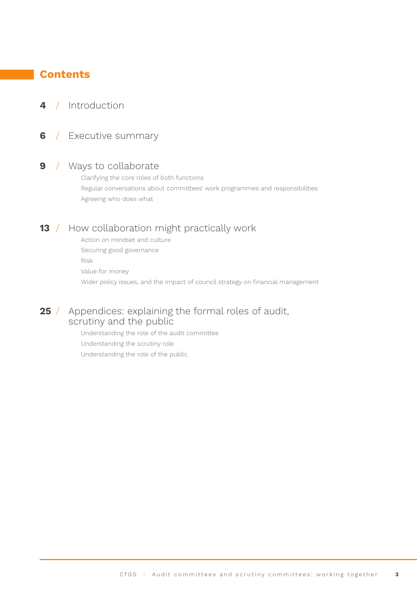## **Contents**

## **4** / [Introduction](#page-3-0)

**6** / [Executive summary](#page-5-0)

## **9** / [Ways to collaborate](#page-8-0)

 Clarifying the core roles of both functions Regular conversations about committees' work programmes and responsibilities Agreeing who does what

## **13** / [How collaboration might practically work](#page-12-0)

 Action on mindset and culture Securing good governance Risk Value for money Wider policy issues, and the impact of council strategy on financial management

## **25** / [Appendices: explaining the formal roles of audit,](#page-24-0)   [scrutiny and the public](#page-24-0)

 Understanding the role of the audit committee Understanding the scrutiny role Understanding the role of the public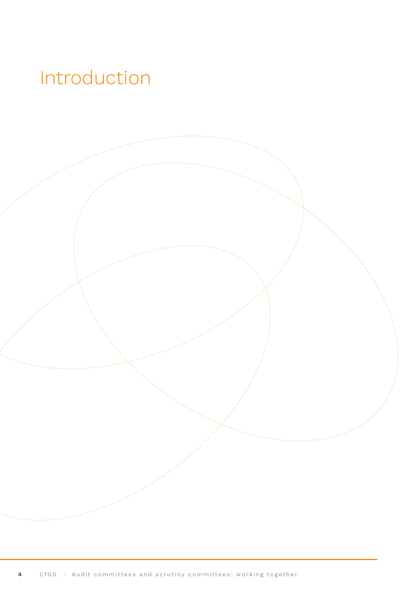## <span id="page-3-0"></span>Introduction

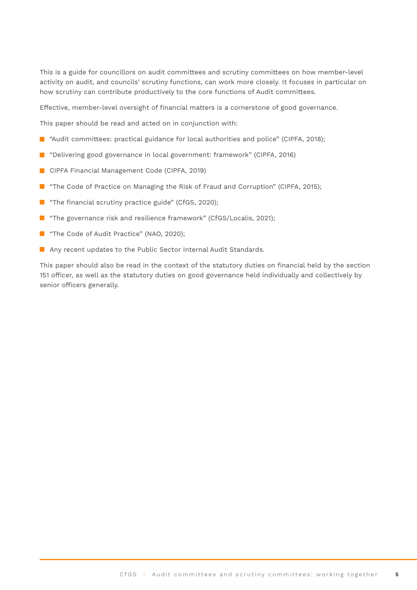This is a guide for councillors on audit committees and scrutiny committees on how member-level activity on audit, and councils' scrutiny functions, can work more closely. It focuses in particular on how scrutiny can contribute productively to the core functions of Audit committees.

Effective, member-level oversight of financial matters is a cornerstone of good governance.

This paper should be read and acted on in conjunction with:

- **E** "Audit committees: practical guidance for local authorities and police" (CIPFA, 2018);
- **D** "Delivering good governance in local government: framework" (CIPFA, 2016)
- **CIPFA Financial Management Code (CIPFA, 2019)**
- "The Code of Practice on Managing the Risk of Fraud and Corruption" (CIPFA, 2015);
- **The financial scrutiny practice guide" (CfGS, 2020);**
- "The governance risk and resilience framework" (CfGS/Localis, 2021);
- **The Code of Audit Practice" (NAO, 2020);**
- **Any recent updates to the Public Sector Internal Audit Standards.**

This paper should also be read in the context of the statutory duties on financial held by the section 151 officer, as well as the statutory duties on good governance held individually and collectively by senior officers generally.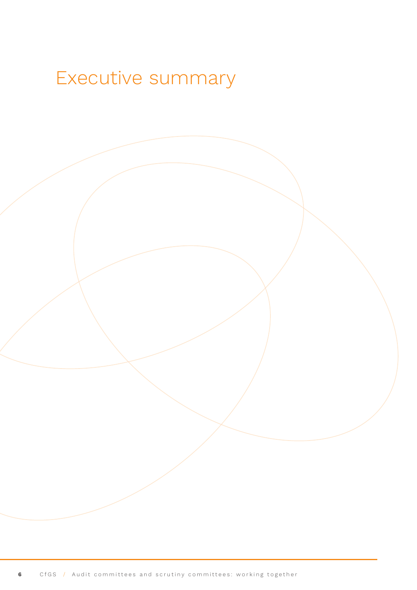## <span id="page-5-0"></span>Executive summary

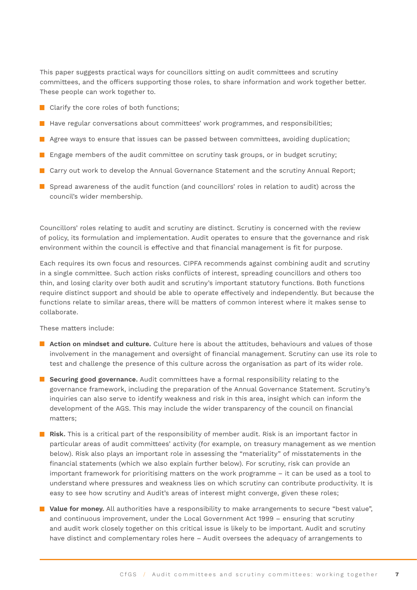This paper suggests practical ways for councillors sitting on audit committees and scrutiny committees, and the officers supporting those roles, to share information and work together better. These people can work together to.

- Clarify the core roles of both functions;
- $\blacksquare$  Have regular conversations about committees' work programmes, and responsibilities;
- $\blacksquare$  Agree ways to ensure that issues can be passed between committees, avoiding duplication;
- **E** Engage members of the audit committee on scrutiny task groups, or in budget scrutiny;
- Carry out work to develop the Annual Governance Statement and the scrutiny Annual Report;
- $\blacksquare$  Spread awareness of the audit function (and councillors' roles in relation to audit) across the council's wider membership.

Councillors' roles relating to audit and scrutiny are distinct. Scrutiny is concerned with the review of policy, its formulation and implementation. Audit operates to ensure that the governance and risk environment within the council is effective and that financial management is fit for purpose.

Each requires its own focus and resources. CIPFA recommends against combining audit and scrutiny in a single committee. Such action risks conflicts of interest, spreading councillors and others too thin, and losing clarity over both audit and scrutiny's important statutory functions. Both functions require distinct support and should be able to operate effectively and independently. But because the functions relate to similar areas, there will be matters of common interest where it makes sense to collaborate.

These matters include:

- **Action on mindset and culture.** Culture here is about the attitudes, behaviours and values of those involvement in the management and oversight of financial management. Scrutiny can use its role to test and challenge the presence of this culture across the organisation as part of its wider role.
- **Securing good governance.** Audit committees have a formal responsibility relating to the governance framework, including the preparation of the Annual Governance Statement. Scrutiny's inquiries can also serve to identify weakness and risk in this area, insight which can inform the development of the AGS. This may include the wider transparency of the council on financial matters;
- **Risk.** This is a critical part of the responsibility of member audit. Risk is an important factor in particular areas of audit committees' activity (for example, on treasury management as we mention below). Risk also plays an important role in assessing the "materiality" of misstatements in the financial statements (which we also explain further below). For scrutiny, risk can provide an important framework for prioritising matters on the work programme – it can be used as a tool to understand where pressures and weakness lies on which scrutiny can contribute productivity. It is easy to see how scrutiny and Audit's areas of interest might converge, given these roles;
- **Value for money.** All authorities have a responsibility to make arrangements to secure "best value", and continuous improvement, under the Local Government Act 1999 – ensuring that scrutiny and audit work closely together on this critical issue is likely to be important. Audit and scrutiny have distinct and complementary roles here – Audit oversees the adequacy of arrangements to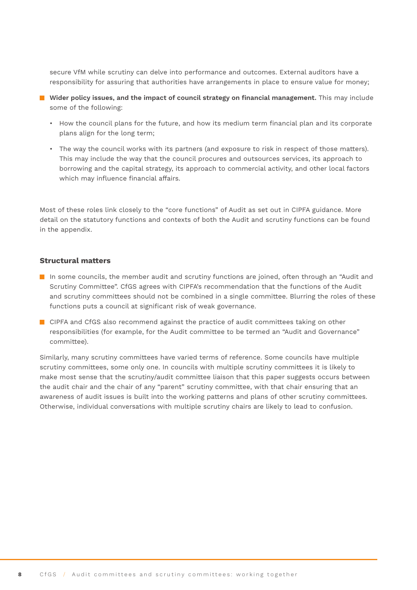secure VfM while scrutiny can delve into performance and outcomes. External auditors have a responsibility for assuring that authorities have arrangements in place to ensure value for money;

- **Wider policy issues, and the impact of council strategy on financial management.** This may include some of the following:
	- How the council plans for the future, and how its medium term financial plan and its corporate plans align for the long term;
	- The way the council works with its partners (and exposure to risk in respect of those matters). This may include the way that the council procures and outsources services, its approach to borrowing and the capital strategy, its approach to commercial activity, and other local factors which may influence financial affairs.

Most of these roles link closely to the "core functions" of Audit as set out in CIPFA guidance. More detail on the statutory functions and contexts of both the Audit and scrutiny functions can be found in the appendix.

#### **Structural matters**

- In some councils, the member audit and scrutiny functions are joined, often through an "Audit and Scrutiny Committee". CfGS agrees with CIPFA's recommendation that the functions of the Audit and scrutiny committees should not be combined in a single committee. Blurring the roles of these functions puts a council at significant risk of weak governance.
- CIPFA and CfGS also recommend against the practice of audit committees taking on other responsibilities (for example, for the Audit committee to be termed an "Audit and Governance" committee).

Similarly, many scrutiny committees have varied terms of reference. Some councils have multiple scrutiny committees, some only one. In councils with multiple scrutiny committees it is likely to make most sense that the scrutiny/audit committee liaison that this paper suggests occurs between the audit chair and the chair of any "parent" scrutiny committee, with that chair ensuring that an awareness of audit issues is built into the working patterns and plans of other scrutiny committees. Otherwise, individual conversations with multiple scrutiny chairs are likely to lead to confusion.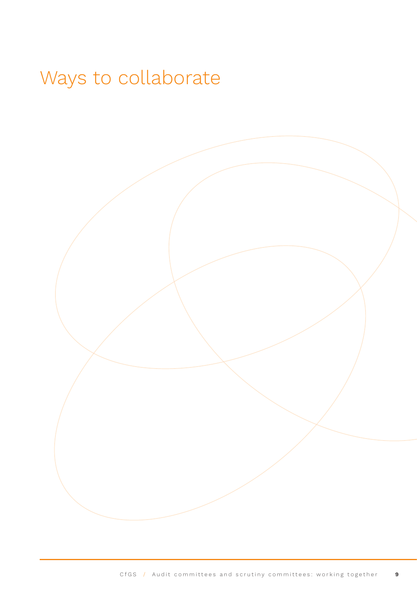# <span id="page-8-0"></span>Ways to collaborate

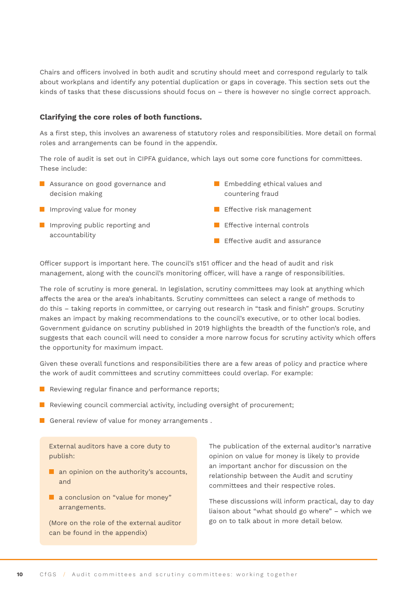Chairs and officers involved in both audit and scrutiny should meet and correspond regularly to talk about workplans and identify any potential duplication or gaps in coverage. This section sets out the kinds of tasks that these discussions should focus on – there is however no single correct approach.

#### **Clarifying the core roles of both functions.**

As a first step, this involves an awareness of statutory roles and responsibilities. More detail on formal roles and arrangements can be found in the appendix.

The role of audit is set out in CIPFA guidance, which lays out some core functions for committees. These include:

- **Assurance on good governance and** decision making
- **I** Improving value for money
- **I** Improving public reporting and accountability
- **Embedding ethical values and** countering fraud
- **Effective risk management**
- **Effective internal controls**
- $\blacksquare$  Effective audit and assurance

Officer support is important here. The council's s151 officer and the head of audit and risk management, along with the council's monitoring officer, will have a range of responsibilities.

The role of scrutiny is more general. In legislation, scrutiny committees may look at anything which affects the area or the area's inhabitants. Scrutiny committees can select a range of methods to do this – taking reports in committee, or carrying out research in "task and finish" groups. Scrutiny makes an impact by making recommendations to the council's executive, or to other local bodies. Government guidance on scrutiny published in 2019 highlights the breadth of the function's role, and suggests that each council will need to consider a more narrow focus for scrutiny activity which offers the opportunity for maximum impact.

Given these overall functions and responsibilities there are a few areas of policy and practice where the work of audit committees and scrutiny committees could overlap. For example:

- $\blacksquare$  Reviewing regular finance and performance reports;
- Reviewing council commercial activity, including oversight of procurement;
- General review of value for money arrangements.

External auditors have a core duty to publish:

- $\blacksquare$  an opinion on the authority's accounts, and
- a conclusion on "value for money" arrangements.

(More on the role of the external auditor can be found in the appendix)

The publication of the external auditor's narrative opinion on value for money is likely to provide an important anchor for discussion on the relationship between the Audit and scrutiny committees and their respective roles.

These discussions will inform practical, day to day liaison about "what should go where" – which we go on to talk about in more detail below.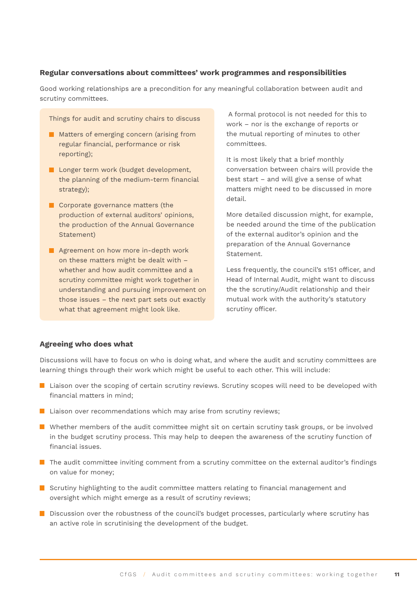#### **Regular conversations about committees' work programmes and responsibilities**

Good working relationships are a precondition for any meaningful collaboration between audit and scrutiny committees.

Things for audit and scrutiny chairs to discuss

- **Matters of emerging concern (arising from** regular financial, performance or risk reporting);
- **L** Longer term work (budget development, the planning of the medium-term financial strategy);
- Corporate governance matters (the production of external auditors' opinions, the production of the Annual Governance Statement)
- **Agreement on how more in-depth work** on these matters might be dealt with – whether and how audit committee and a scrutiny committee might work together in understanding and pursuing improvement on those issues – the next part sets out exactly what that agreement might look like.

 A formal protocol is not needed for this to work – nor is the exchange of reports or the mutual reporting of minutes to other committees.

It is most likely that a brief monthly conversation between chairs will provide the best start – and will give a sense of what matters might need to be discussed in more detail.

More detailed discussion might, for example, be needed around the time of the publication of the external auditor's opinion and the preparation of the Annual Governance Statement.

Less frequently, the council's s151 officer, and Head of Internal Audit, might want to discuss the the scrutiny/Audit relationship and their mutual work with the authority's statutory scrutiny officer.

#### **Agreeing who does what**

Discussions will have to focus on who is doing what, and where the audit and scrutiny committees are learning things through their work which might be useful to each other. This will include:

- **L** Liaison over the scoping of certain scrutiny reviews. Scrutiny scopes will need to be developed with financial matters in mind;
- $\blacksquare$  Liaison over recommendations which may arise from scrutiny reviews;
- **N** Whether members of the audit committee might sit on certain scrutiny task groups, or be involved in the budget scrutiny process. This may help to deepen the awareness of the scrutiny function of financial issues.
- **The audit committee inviting comment from a scrutiny committee on the external auditor's findings** on value for money;
- **S** Scrutiny highlighting to the audit committee matters relating to financial management and oversight which might emerge as a result of scrutiny reviews;
- Discussion over the robustness of the council's budget processes, particularly where scrutiny has an active role in scrutinising the development of the budget.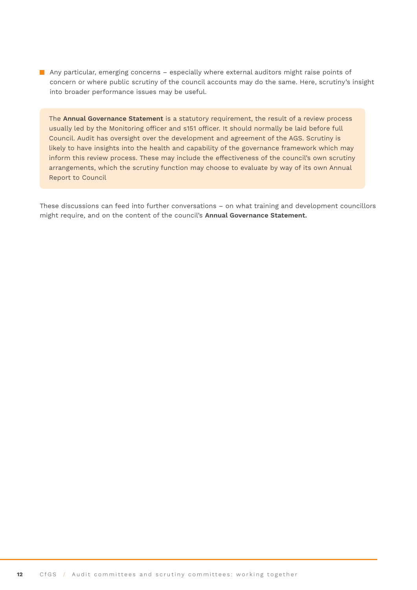Any particular, emerging concerns – especially where external auditors might raise points of concern or where public scrutiny of the council accounts may do the same. Here, scrutiny's insight into broader performance issues may be useful.

The **Annual Governance Statement** is a statutory requirement, the result of a review process usually led by the Monitoring officer and s151 officer. It should normally be laid before full Council. Audit has oversight over the development and agreement of the AGS. Scrutiny is likely to have insights into the health and capability of the governance framework which may inform this review process. These may include the effectiveness of the council's own scrutiny arrangements, which the scrutiny function may choose to evaluate by way of its own Annual Report to Council

These discussions can feed into further conversations – on what training and development councillors might require, and on the content of the council's **Annual Governance Statement.**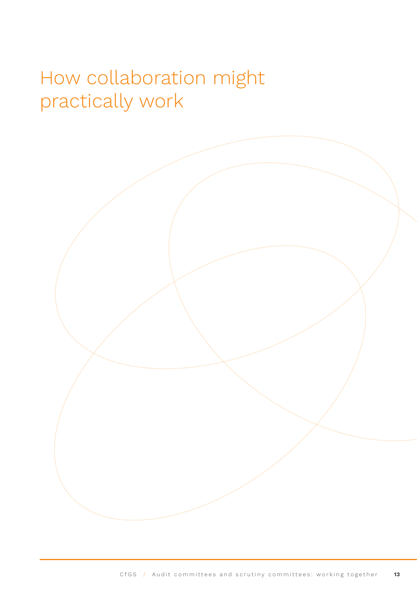## <span id="page-12-0"></span>How collaboration might practically work

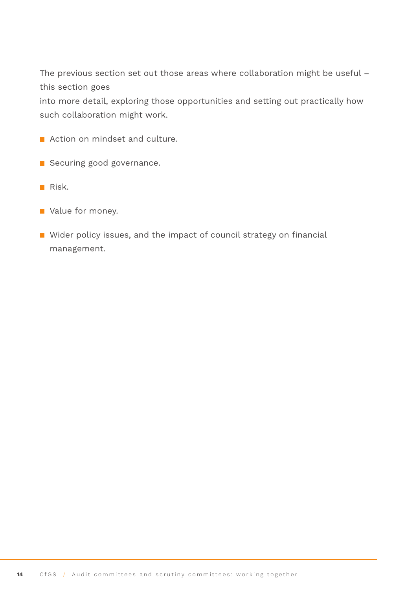The previous section set out those areas where collaboration might be useful – this section goes

into more detail, exploring those opportunities and setting out practically how such collaboration might work.

- **Action on mindset and culture.**
- Securing good governance.
- $Risk.$
- **Value for money.**
- Wider policy issues, and the impact of council strategy on financial management.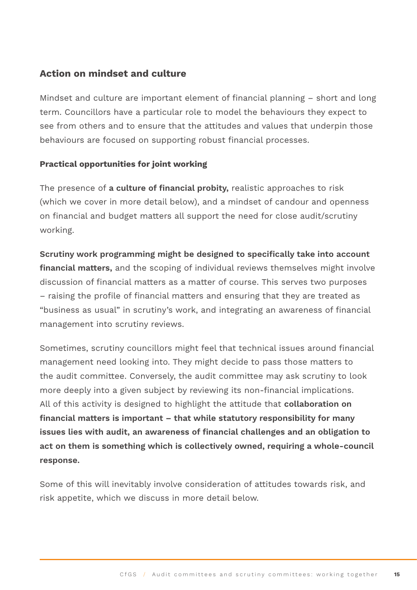## **Action on mindset and culture**

Mindset and culture are important element of financial planning – short and long term. Councillors have a particular role to model the behaviours they expect to see from others and to ensure that the attitudes and values that underpin those behaviours are focused on supporting robust financial processes.

### **Practical opportunities for joint working**

The presence of **a culture of financial probity,** realistic approaches to risk (which we cover in more detail below), and a mindset of candour and openness on financial and budget matters all support the need for close audit/scrutiny working.

## **Scrutiny work programming might be designed to specifically take into account financial matters,** and the scoping of individual reviews themselves might involve discussion of financial matters as a matter of course. This serves two purposes – raising the profile of financial matters and ensuring that they are treated as "business as usual" in scrutiny's work, and integrating an awareness of financial management into scrutiny reviews.

Sometimes, scrutiny councillors might feel that technical issues around financial management need looking into. They might decide to pass those matters to the audit committee. Conversely, the audit committee may ask scrutiny to look more deeply into a given subject by reviewing its non-financial implications. All of this activity is designed to highlight the attitude that **collaboration on financial matters is important – that while statutory responsibility for many issues lies with audit, an awareness of financial challenges and an obligation to act on them is something which is collectively owned, requiring a whole-council response.** 

Some of this will inevitably involve consideration of attitudes towards risk, and risk appetite, which we discuss in more detail below.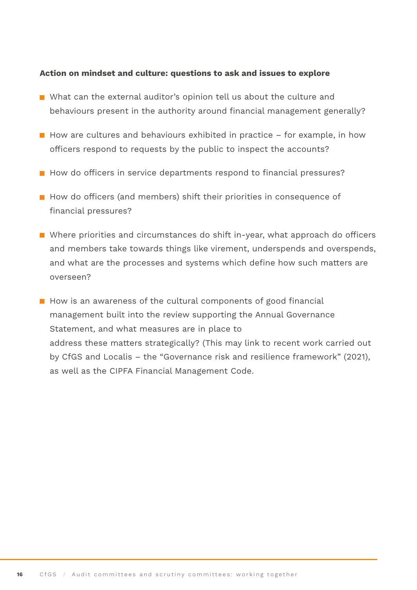#### **Action on mindset and culture: questions to ask and issues to explore**

- What can the external auditor's opinion tell us about the culture and behaviours present in the authority around financial management generally?
- How are cultures and behaviours exhibited in practice  $-$  for example, in how officers respond to requests by the public to inspect the accounts?
- How do officers in service departments respond to financial pressures?
- $\blacksquare$  How do officers (and members) shift their priorities in consequence of financial pressures?
- Where priorities and circumstances do shift in-year, what approach do officers and members take towards things like virement, underspends and overspends, and what are the processes and systems which define how such matters are overseen?
- $\blacksquare$  How is an awareness of the cultural components of good financial management built into the review supporting the Annual Governance Statement, and what measures are in place to address these matters strategically? (This may link to recent work carried out by CfGS and Localis – the "Governance risk and resilience framework" (2021), as well as the CIPFA Financial Management Code.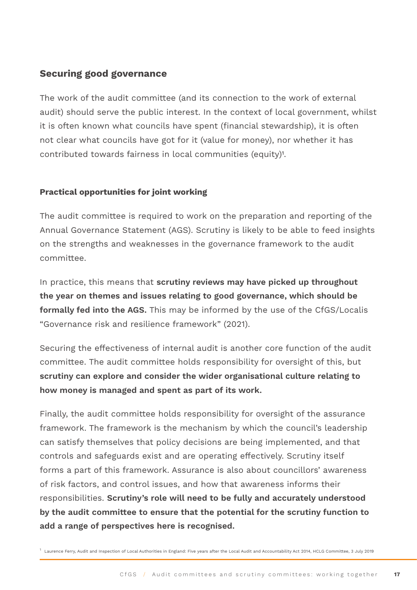## **Securing good governance**

The work of the audit committee (and its connection to the work of external audit) should serve the public interest. In the context of local government, whilst it is often known what councils have spent (financial stewardship), it is often not clear what councils have got for it (value for money), nor whether it has contributed towards fairness in local communities (equity)1.

### **Practical opportunities for joint working**

The audit committee is required to work on the preparation and reporting of the Annual Governance Statement (AGS). Scrutiny is likely to be able to feed insights on the strengths and weaknesses in the governance framework to the audit committee.

In practice, this means that **scrutiny reviews may have picked up throughout the year on themes and issues relating to good governance, which should be formally fed into the AGS.** This may be informed by the use of the CfGS/Localis "Governance risk and resilience framework" (2021).

Securing the effectiveness of internal audit is another core function of the audit committee. The audit committee holds responsibility for oversight of this, but **scrutiny can explore and consider the wider organisational culture relating to how money is managed and spent as part of its work.**

Finally, the audit committee holds responsibility for oversight of the assurance framework. The framework is the mechanism by which the council's leadership can satisfy themselves that policy decisions are being implemented, and that controls and safeguards exist and are operating effectively. Scrutiny itself forms a part of this framework. Assurance is also about councillors' awareness of risk factors, and control issues, and how that awareness informs their responsibilities. **Scrutiny's role will need to be fully and accurately understood by the audit committee to ensure that the potential for the scrutiny function to add a range of perspectives here is recognised.** 

 $^{\rm 1}$  Laurence Ferry, Audit and Inspection of Local Authorities in England: Five years after the Local Audit and Accountability Act 2014, HCLG Committee, 3 July 2019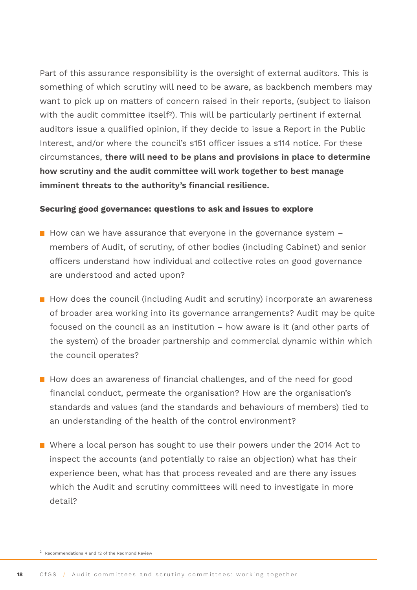Part of this assurance responsibility is the oversight of external auditors. This is something of which scrutiny will need to be aware, as backbench members may want to pick up on matters of concern raised in their reports, (subject to liaison with the audit committee itself<sup>2</sup>). This will be particularly pertinent if external auditors issue a qualified opinion, if they decide to issue a Report in the Public Interest, and/or where the council's s151 officer issues a s114 notice. For these circumstances, **there will need to be plans and provisions in place to determine how scrutiny and the audit committee will work together to best manage imminent threats to the authority's financial resilience.**

#### **Securing good governance: questions to ask and issues to explore**

- $\blacksquare$  How can we have assurance that everyone in the governance system  $\blacksquare$ members of Audit, of scrutiny, of other bodies (including Cabinet) and senior officers understand how individual and collective roles on good governance are understood and acted upon?
- $\blacksquare$  How does the council (including Audit and scrutiny) incorporate an awareness of broader area working into its governance arrangements? Audit may be quite focused on the council as an institution – how aware is it (and other parts of the system) of the broader partnership and commercial dynamic within which the council operates?
- $\blacksquare$  How does an awareness of financial challenges, and of the need for good financial conduct, permeate the organisation? How are the organisation's standards and values (and the standards and behaviours of members) tied to an understanding of the health of the control environment?
- Where a local person has sought to use their powers under the 2014 Act to inspect the accounts (and potentially to raise an objection) what has their experience been, what has that process revealed and are there any issues which the Audit and scrutiny committees will need to investigate in more detail?

<sup>2</sup> Recommendations 4 and 12 of the Redmond Review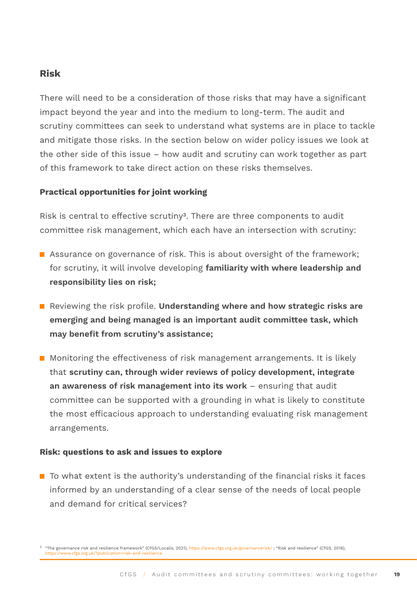## **Risk**

There will need to be a consideration of those risks that may have a significant impact beyond the year and into the medium to long-term. The audit and scrutiny committees can seek to understand what systems are in place to tackle and mitigate those risks. In the section below on wider policy issues we look at the other side of this issue – how audit and scrutiny can work together as part of this framework to take direct action on these risks themselves.

### **Practical opportunities for joint working**

Risk is central to effective scrutiny<sup>3</sup>. There are three components to audit committee risk management, which each have an intersection with scrutiny:

- Assurance on governance of risk. This is about oversight of the framework; for scrutiny, it will involve developing **familiarity with where leadership and responsibility lies on risk;**
- Reviewing the risk profile. **Understanding where and how strategic risks are emerging and being managed is an important audit committee task, which may benefit from scrutiny's assistance;**
- **Monitoring the effectiveness of risk management arrangements. It is likely** that **scrutiny can, through wider reviews of policy development, integrate an awareness of risk management into its work** – ensuring that audit committee can be supported with a grounding in what is likely to constitute the most efficacious approach to understanding evaluating risk management arrangements.

#### **Risk: questions to ask and issues to explore**

 $\blacksquare$  To what extent is the authority's understanding of the financial risks it faces informed by an understanding of a clear sense of the needs of local people and demand for critical services?

<sup>3</sup> "The governance risk and resilience framework" (CfGS/Localis, 2021), https://www.cfgs.org.uk/governancerisk/ ; "Risk and resilience" (CfGS, 2016), https://www.cfgs.org.uk/?publication=risk-and-resilienc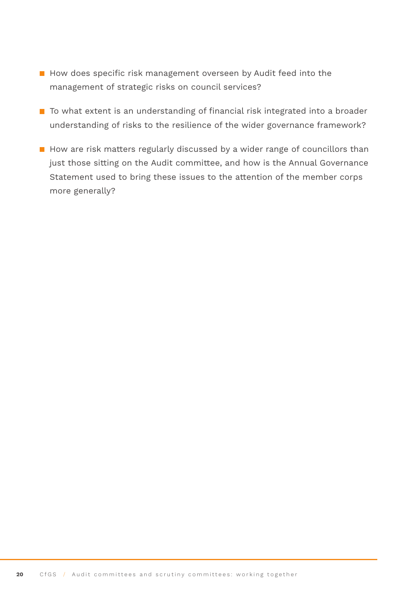- How does specific risk management overseen by Audit feed into the management of strategic risks on council services?
- To what extent is an understanding of financial risk integrated into a broader understanding of risks to the resilience of the wider governance framework?
- $\blacksquare$  How are risk matters regularly discussed by a wider range of councillors than just those sitting on the Audit committee, and how is the Annual Governance Statement used to bring these issues to the attention of the member corps more generally?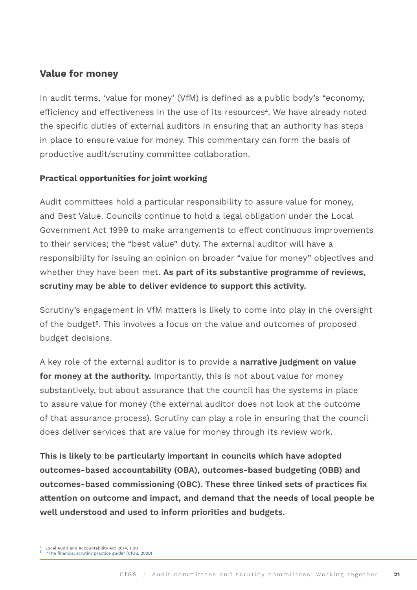## **Value for money**

In audit terms, 'value for money' (VfM) is defined as a public body's "economy, efficiency and effectiveness in the use of its resources<sup>4</sup>. We have already noted the specific duties of external auditors in ensuring that an authority has steps in place to ensure value for money. This commentary can form the basis of productive audit/scrutiny committee collaboration.

### **Practical opportunities for joint working**

Audit committees hold a particular responsibility to assure value for money, and Best Value. Councils continue to hold a legal obligation under the Local Government Act 1999 to make arrangements to effect continuous improvements to their services; the "best value" duty. The external auditor will have a responsibility for issuing an opinion on broader "value for money" objectives and whether they have been met. **As part of its substantive programme of reviews, scrutiny may be able to deliver evidence to support this activity.**

Scrutiny's engagement in VfM matters is likely to come into play in the oversight of the budget<sup>5</sup>. This involves a focus on the value and outcomes of proposed budget decisions.

A key role of the external auditor is to provide a **narrative judgment on value for money at the authority.** Importantly, this is not about value for money substantively, but about assurance that the council has the systems in place to assure value for money (the external auditor does not look at the outcome of that assurance process). Scrutiny can play a role in ensuring that the council does deliver services that are value for money through its review work.

**This is likely to be particularly important in councils which have adopted outcomes-based accountability (OBA), outcomes-based budgeting (OBB) and outcomes-based commissioning (OBC). These three linked sets of practices fix attention on outcome and impact, and demand that the needs of local people be well understood and used to inform priorities and budgets.**

<sup>4</sup> Local Audit and Accountability Act 2014, s.20 5 "The financial scrutiny practice guide" (CfGS, 2020)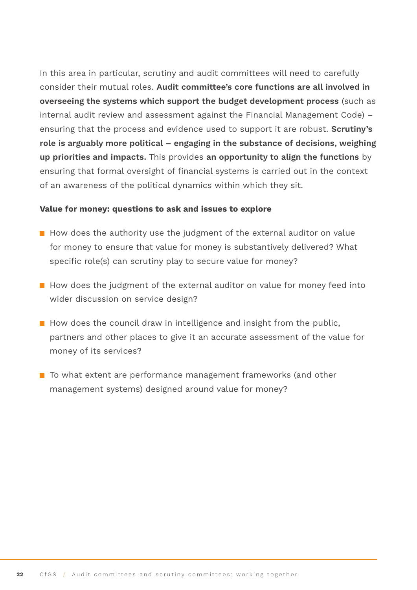In this area in particular, scrutiny and audit committees will need to carefully consider their mutual roles. **Audit committee's core functions are all involved in overseeing the systems which support the budget development process** (such as internal audit review and assessment against the Financial Management Code) – ensuring that the process and evidence used to support it are robust. **Scrutiny's role is arguably more political – engaging in the substance of decisions, weighing up priorities and impacts.** This provides **an opportunity to align the functions** by ensuring that formal oversight of financial systems is carried out in the context of an awareness of the political dynamics within which they sit.

#### **Value for money: questions to ask and issues to explore**

- $\blacksquare$  How does the authority use the judgment of the external auditor on value for money to ensure that value for money is substantively delivered? What specific role(s) can scrutiny play to secure value for money?
- $\blacksquare$  How does the judgment of the external auditor on value for money feed into wider discussion on service design?
- $\blacksquare$  How does the council draw in intelligence and insight from the public, partners and other places to give it an accurate assessment of the value for money of its services?
- To what extent are performance management frameworks (and other management systems) designed around value for money?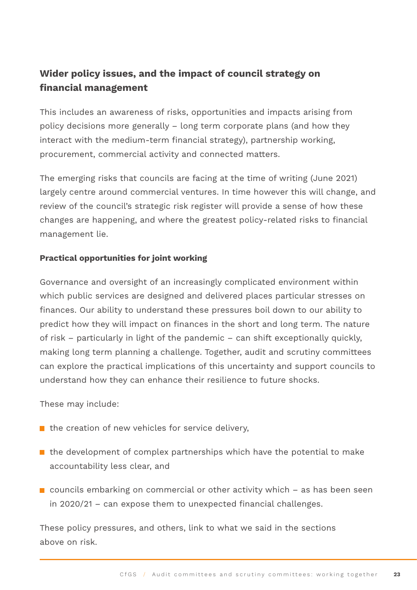## **Wider policy issues, and the impact of council strategy on financial management**

This includes an awareness of risks, opportunities and impacts arising from policy decisions more generally – long term corporate plans (and how they interact with the medium-term financial strategy), partnership working, procurement, commercial activity and connected matters.

The emerging risks that councils are facing at the time of writing (June 2021) largely centre around commercial ventures. In time however this will change, and review of the council's strategic risk register will provide a sense of how these changes are happening, and where the greatest policy-related risks to financial management lie.

### **Practical opportunities for joint working**

Governance and oversight of an increasingly complicated environment within which public services are designed and delivered places particular stresses on finances. Our ability to understand these pressures boil down to our ability to predict how they will impact on finances in the short and long term. The nature of risk – particularly in light of the pandemic – can shift exceptionally quickly, making long term planning a challenge. Together, audit and scrutiny committees can explore the practical implications of this uncertainty and support councils to understand how they can enhance their resilience to future shocks.

These may include:

- $\blacksquare$  the creation of new vehicles for service delivery,
- $\blacksquare$  the development of complex partnerships which have the potential to make accountability less clear, and
- $\blacksquare$  councils embarking on commercial or other activity which  $-$  as has been seen in 2020/21 – can expose them to unexpected financial challenges.

These policy pressures, and others, link to what we said in the sections above on risk.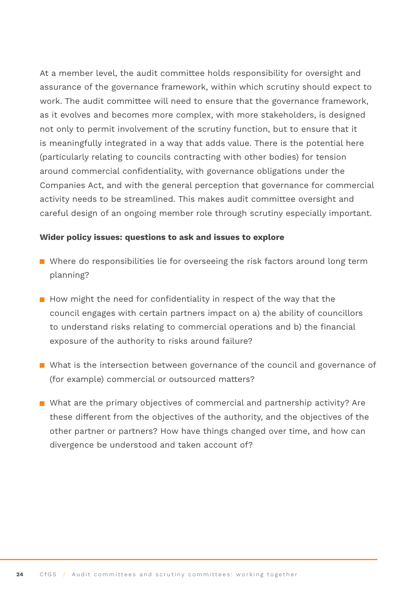At a member level, the audit committee holds responsibility for oversight and assurance of the governance framework, within which scrutiny should expect to work. The audit committee will need to ensure that the governance framework, as it evolves and becomes more complex, with more stakeholders, is designed not only to permit involvement of the scrutiny function, but to ensure that it is meaningfully integrated in a way that adds value. There is the potential here (particularly relating to councils contracting with other bodies) for tension around commercial confidentiality, with governance obligations under the Companies Act, and with the general perception that governance for commercial activity needs to be streamlined. This makes audit committee oversight and careful design of an ongoing member role through scrutiny especially important.

#### **Wider policy issues: questions to ask and issues to explore**

- Where do responsibilities lie for overseeing the risk factors around long term planning?
- $\blacksquare$  How might the need for confidentiality in respect of the way that the council engages with certain partners impact on a) the ability of councillors to understand risks relating to commercial operations and b) the financial exposure of the authority to risks around failure?
- What is the intersection between governance of the council and governance of (for example) commercial or outsourced matters?
- What are the primary objectives of commercial and partnership activity? Are these different from the objectives of the authority, and the objectives of the other partner or partners? How have things changed over time, and how can divergence be understood and taken account of?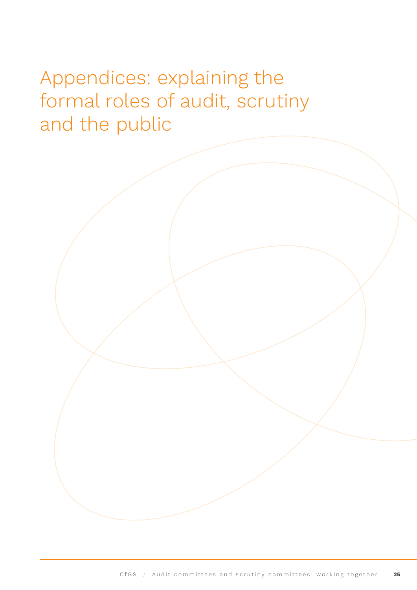## <span id="page-24-0"></span>Appendices: explaining the formal roles of audit, scrutiny and the public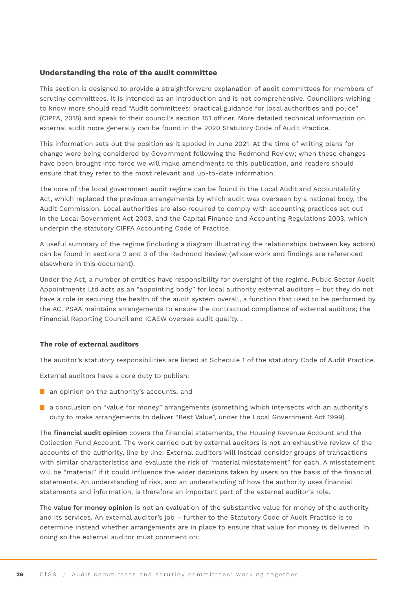#### **Understanding the role of the audit committee**

This section is designed to provide a straightforward explanation of audit committees for members of scrutiny committees. It is intended as an introduction and is not comprehensive. Councillors wishing to know more should read "Audit committees: practical guidance for local authorities and police" (CIPFA, 2018) and speak to their council's section 151 officer. More detailed technical information on external audit more generally can be found in the 2020 Statutory Code of Audit Practice.

This information sets out the position as it applied in June 2021. At the time of writing plans for change were being considered by Government following the Redmond Review; when these changes have been brought into force we will make amendments to this publication, and readers should ensure that they refer to the most relevant and up-to-date information.

The core of the local government audit regime can be found in the Local Audit and Accountability Act, which replaced the previous arrangements by which audit was overseen by a national body, the Audit Commission. Local authorities are also required to comply with accounting practices set out in the Local Government Act 2003, and the Capital Finance and Accounting Regulations 2003, which underpin the statutory CIPFA Accounting Code of Practice.

A useful summary of the regime (including a diagram illustrating the relationships between key actors) can be found in sections 2 and 3 of the Redmond Review (whose work and findings are referenced elsewhere in this document).

Under the Act, a number of entities have responsibility for oversight of the regime. Public Sector Audit Appointments Ltd acts as an "appointing body" for local authority external auditors – but they do not have a role in securing the health of the audit system overall, a function that used to be performed by the AC. PSAA maintains arrangements to ensure the contractual compliance of external auditors; the Financial Reporting Council and ICAEW oversee audit quality. .

#### **The role of external auditors**

The auditor's statutory responsibilities are listed at Schedule 1 of the statutory Code of Audit Practice.

External auditors have a core duty to publish:

- an opinion on the authority's accounts, and
- **a** a conclusion on "value for money" arrangements (something which intersects with an authority's duty to make arrangements to deliver "Best Value", under the Local Government Act 1999).

The **financial audit opinion** covers the financial statements, the Housing Revenue Account and the Collection Fund Account. The work carried out by external auditors is not an exhaustive review of the accounts of the authority, line by line. External auditors will instead consider groups of transactions with similar characteristics and evaluate the risk of "material misstatement" for each. A misstatement will be "material" if it could influence the wider decisions taken by users on the basis of the financial statements. An understanding of risk, and an understanding of how the authority uses financial statements and information, is therefore an important part of the external auditor's role.

The **value for money opinion** is not an evaluation of the substantive value for money of the authority and its services. An external auditor's job – further to the Statutory Code of Audit Practice is to determine instead whether arrangements are in place to ensure that value for money is delivered. In doing so the external auditor must comment on: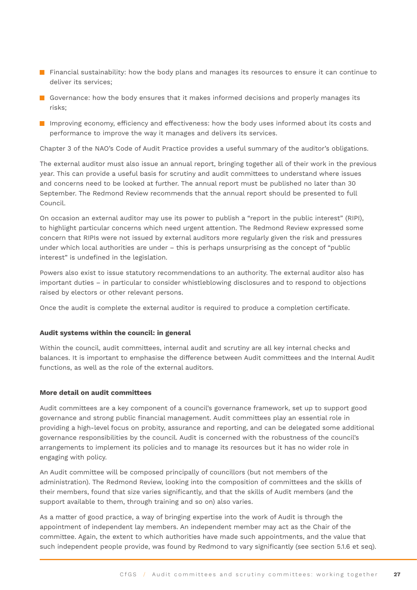- **Financial sustainability: how the body plans and manages its resources to ensure it can continue to** deliver its services;
- Governance: how the body ensures that it makes informed decisions and properly manages its risks;
- **IM** Improving economy, efficiency and effectiveness: how the body uses informed about its costs and performance to improve the way it manages and delivers its services.

Chapter 3 of the NAO's Code of Audit Practice provides a useful summary of the auditor's obligations.

The external auditor must also issue an annual report, bringing together all of their work in the previous year. This can provide a useful basis for scrutiny and audit committees to understand where issues and concerns need to be looked at further. The annual report must be published no later than 30 September. The Redmond Review recommends that the annual report should be presented to full Council.

On occasion an external auditor may use its power to publish a "report in the public interest" (RIPI), to highlight particular concerns which need urgent attention. The Redmond Review expressed some concern that RIPIs were not issued by external auditors more regularly given the risk and pressures under which local authorities are under – this is perhaps unsurprising as the concept of "public interest" is undefined in the legislation.

Powers also exist to issue statutory recommendations to an authority. The external auditor also has important duties – in particular to consider whistleblowing disclosures and to respond to objections raised by electors or other relevant persons.

Once the audit is complete the external auditor is required to produce a completion certificate.

#### **Audit systems within the council: in general**

Within the council, audit committees, internal audit and scrutiny are all key internal checks and balances. It is important to emphasise the difference between Audit committees and the Internal Audit functions, as well as the role of the external auditors.

#### **More detail on audit committees**

Audit committees are a key component of a council's governance framework, set up to support good governance and strong public financial management. Audit committees play an essential role in providing a high-level focus on probity, assurance and reporting, and can be delegated some additional governance responsibilities by the council. Audit is concerned with the robustness of the council's arrangements to implement its policies and to manage its resources but it has no wider role in engaging with policy.

An Audit committee will be composed principally of councillors (but not members of the administration). The Redmond Review, looking into the composition of committees and the skills of their members, found that size varies significantly, and that the skills of Audit members (and the support available to them, through training and so on) also varies.

As a matter of good practice, a way of bringing expertise into the work of Audit is through the appointment of independent lay members. An independent member may act as the Chair of the committee. Again, the extent to which authorities have made such appointments, and the value that such independent people provide, was found by Redmond to vary significantly (see section 5.1.6 et seq).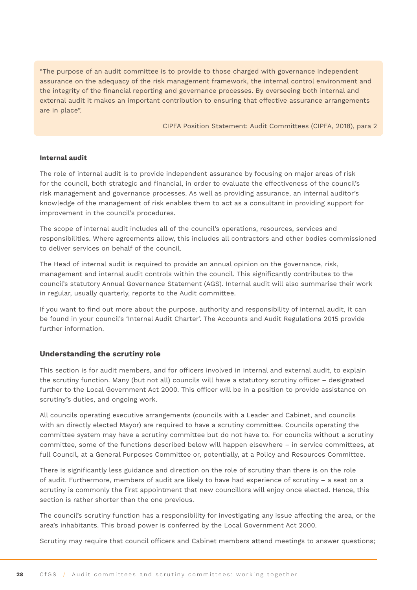"The purpose of an audit committee is to provide to those charged with governance independent assurance on the adequacy of the risk management framework, the internal control environment and the integrity of the financial reporting and governance processes. By overseeing both internal and external audit it makes an important contribution to ensuring that effective assurance arrangements are in place".

CIPFA Position Statement: Audit Committees (CIPFA, 2018), para 2

#### **Internal audit**

The role of internal audit is to provide independent assurance by focusing on major areas of risk for the council, both strategic and financial, in order to evaluate the effectiveness of the council's risk management and governance processes. As well as providing assurance, an internal auditor's knowledge of the management of risk enables them to act as a consultant in providing support for improvement in the council's procedures.

The scope of internal audit includes all of the council's operations, resources, services and responsibilities. Where agreements allow, this includes all contractors and other bodies commissioned to deliver services on behalf of the council.

The Head of internal audit is required to provide an annual opinion on the governance, risk, management and internal audit controls within the council. This significantly contributes to the council's statutory Annual Governance Statement (AGS). Internal audit will also summarise their work in regular, usually quarterly, reports to the Audit committee.

If you want to find out more about the purpose, authority and responsibility of internal audit, it can be found in your council's 'Internal Audit Charter'. The Accounts and Audit Regulations 2015 provide further information.

#### **Understanding the scrutiny role**

This section is for audit members, and for officers involved in internal and external audit, to explain the scrutiny function. Many (but not all) councils will have a statutory scrutiny officer – designated further to the Local Government Act 2000. This officer will be in a position to provide assistance on scrutiny's duties, and ongoing work.

All councils operating executive arrangements (councils with a Leader and Cabinet, and councils with an directly elected Mayor) are required to have a scrutiny committee. Councils operating the committee system may have a scrutiny committee but do not have to. For councils without a scrutiny committee, some of the functions described below will happen elsewhere – in service committees, at full Council, at a General Purposes Committee or, potentially, at a Policy and Resources Committee.

There is significantly less guidance and direction on the role of scrutiny than there is on the role of audit. Furthermore, members of audit are likely to have had experience of scrutiny – a seat on a scrutiny is commonly the first appointment that new councillors will enjoy once elected. Hence, this section is rather shorter than the one previous.

The council's scrutiny function has a responsibility for investigating any issue affecting the area, or the area's inhabitants. This broad power is conferred by the Local Government Act 2000.

Scrutiny may require that council officers and Cabinet members attend meetings to answer questions;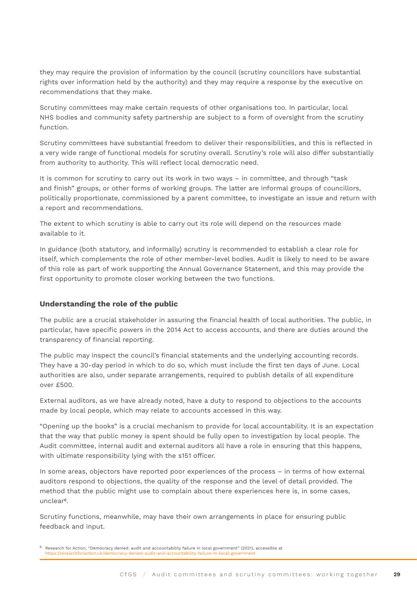they may require the provision of information by the council (scrutiny councillors have substantial rights over information held by the authority) and they may require a response by the executive on recommendations that they make.

Scrutiny committees may make certain requests of other organisations too. In particular, local NHS bodies and community safety partnership are subject to a form of oversight from the scrutiny function.

Scrutiny committees have substantial freedom to deliver their responsibilities, and this is reflected in a very wide range of functional models for scrutiny overall. Scrutiny's role will also differ substantially from authority to authority. This will reflect local democratic need.

It is common for scrutiny to carry out its work in two ways – in committee, and through "task and finish" groups, or other forms of working groups. The latter are informal groups of councillors, politically proportionate, commissioned by a parent committee, to investigate an issue and return with a report and recommendations.

The extent to which scrutiny is able to carry out its role will depend on the resources made available to it.

In guidance (both statutory, and informally) scrutiny is recommended to establish a clear role for itself, which complements the role of other member-level bodies. Audit is likely to need to be aware of this role as part of work supporting the Annual Governance Statement, and this may provide the first opportunity to promote closer working between the two functions.

#### **Understanding the role of the public**

The public are a crucial stakeholder in assuring the financial health of local authorities. The public, in particular, have specific powers in the 2014 Act to access accounts, and there are duties around the transparency of financial reporting.

The public may inspect the council's financial statements and the underlying accounting records. They have a 30-day period in which to do so, which must include the first ten days of June. Local authorities are also, under separate arrangements, required to publish details of all expenditure over £500.

External auditors, as we have already noted, have a duty to respond to objections to the accounts made by local people, which may relate to accounts accessed in this way.

"Opening up the books" is a crucial mechanism to provide for local accountability. It is an expectation that the way that public money is spent should be fully open to investigation by local people. The Audit committee, internal audit and external auditors all have a role in ensuring that this happens, with ultimate responsibility lying with the s151 officer.

In some areas, objectors have reported poor experiences of the process – in terms of how external auditors respond to objections, the quality of the response and the level of detail provided. The method that the public might use to complain about there experiences here is, in some cases, unclear6.

Scrutiny functions, meanwhile, may have their own arrangements in place for ensuring public feedback and input.

<sup>6</sup> Research for Action, "Democracy denied: audit and accountability failure in local government" (2021), accessible at https://researchforaction.uk/democracy-denied-audit-and-accountability-failure-in-local-government